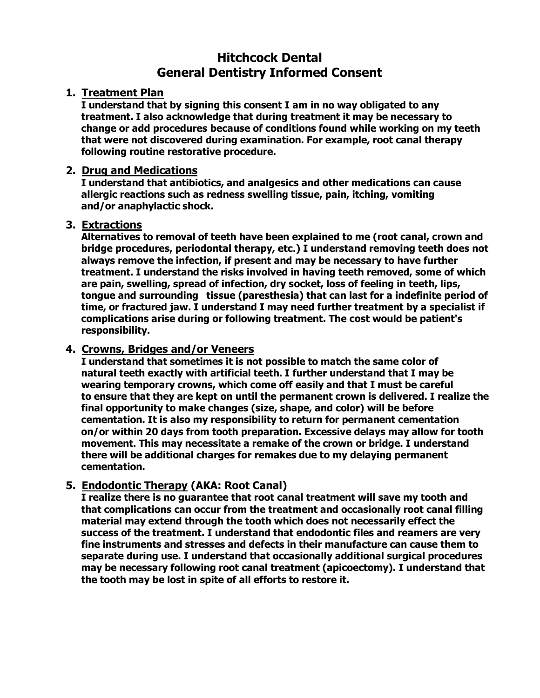# **Hitchcock Dental General Dentistry Informed Consent**

## **1. Treatment Plan**

**I understand that by signing this consent I am in no way obligated to any treatment. I also acknowledge that during treatment it may be necessary to change or add procedures because of conditions found while working on my teeth that were not discovered during examination. For example, root canal therapy following routine restorative procedure.**

#### **2. Drug and Medications**

**I understand that antibiotics, and analgesics and other medications can cause allergic reactions such as redness swelling tissue, pain, itching, vomiting and/or anaphylactic shock.**

#### **3. Extractions**

**Alternatives to removal of teeth have been explained to me (root canal, crown and bridge procedures, periodontal therapy, etc.) I understand removing teeth does not always remove the infection, if present and may be necessary to have further treatment. I understand the risks involved in having teeth removed, some of which are pain, swelling, spread of infection, dry socket, loss of feeling in teeth, lips, tongue and surrounding tissue (paresthesia) that can last for a indefinite period of time, or fractured jaw. I understand I may need further treatment by a specialist if complications arise during or following treatment. The cost would be patient's responsibility.**

#### **4. Crowns, Bridges and/or Veneers**

**I understand that sometimes it is not possible to match the same color of natural teeth exactly with artificial teeth. I further understand that I may be wearing temporary crowns, which come off easily and that I must be careful to ensure that they are kept on until the permanent crown is delivered. I realize the final opportunity to make changes (size, shape, and color) will be before cementation. It is also my responsibility to return for permanent cementation on/or within 20 days from tooth preparation. Excessive delays may allow for tooth movement. This may necessitate a remake of the crown or bridge. I understand there will be additional charges for remakes due to my delaying permanent cementation.**

## **5. Endodontic Therapy (AKA: Root Canal)**

**I realize there is no guarantee that root canal treatment will save my tooth and that complications can occur from the treatment and occasionally root canal filling material may extend through the tooth which does not necessarily effect the success of the treatment. I understand that endodontic files and reamers are very fine instruments and stresses and defects in their manufacture can cause them to separate during use. I understand that occasionally additional surgical procedures may be necessary following root canal treatment (apicoectomy). I understand that the tooth may be lost in spite of all efforts to restore it.**